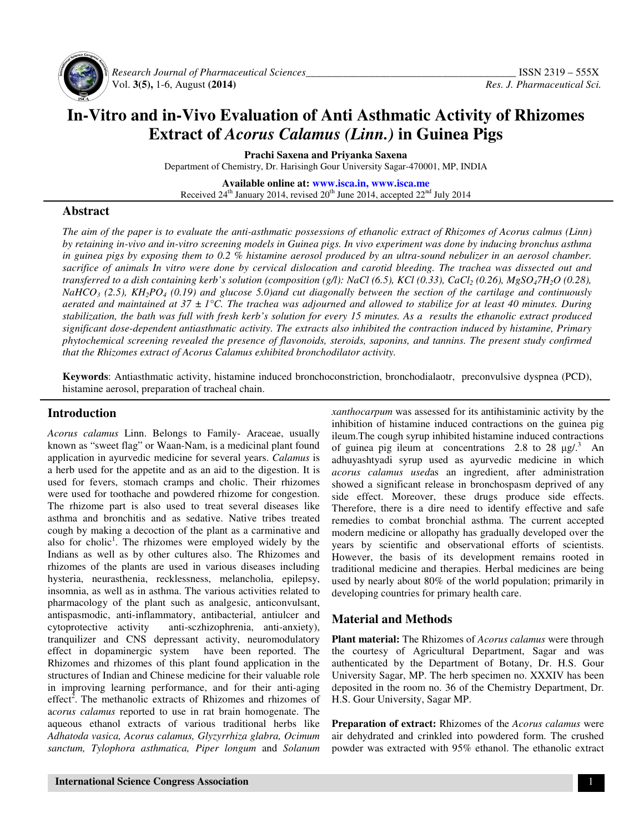

 *Research Journal of Pharmaceutical Sciences\_\_\_\_\_\_\_\_\_\_\_\_\_\_\_\_\_\_\_\_\_\_\_\_\_\_\_\_\_\_\_\_\_\_\_\_\_\_\_\_* ISSN 2319 – 555X Vol. **3(5),** 1-6, August **(2014)** *Res. J. Pharmaceutical Sci.*

# **In-Vitro and in-Vivo Evaluation of Anti Asthmatic Activity of Rhizomes Extract of** *Acorus Calamus (Linn.)* **in Guinea Pigs**

**Prachi Saxena and Priyanka Saxena**

Department of Chemistry, Dr. Harisingh Gour University Sagar-470001, MP, INDIA

**Available online at: www.isca.in, www.isca.me** Received 24<sup>th</sup> January 2014, revised 20<sup>th</sup> June 2014, accepted 22<sup>nd</sup> July 2014

## **Abstract**

*The aim of the paper is to evaluate the anti-asthmatic possessions of ethanolic extract of Rhizomes of Acorus calmus (Linn) by retaining in-vivo and in-vitro screening models in Guinea pigs. In vivo experiment was done by inducing bronchus asthma in guinea pigs by exposing them to 0.2 % histamine aerosol produced by an ultra-sound nebulizer in an aerosol chamber. sacrifice of animals In vitro were done by cervical dislocation and carotid bleeding. The trachea was dissected out and transferred to a dish containing kerb's solution (composition (g/l): NaCl* (6.5), *KCl* (0.33), *CaCl*<sub>2</sub> (0.26), *MgSO<sub>4</sub>7H*<sub>2</sub>O (0.28), *NaHCO3 (2.5), KH2PO4 (0.19) and glucose 5.0)and cut diagonally between the section of the cartilage and continuously aerated and maintained at 37 ± 1°C. The trachea was adjourned and allowed to stabilize for at least 40 minutes. During stabilization, the bath was full with fresh kerb's solution for every 15 minutes. As a results the ethanolic extract produced significant dose-dependent antiasthmatic activity. The extracts also inhibited the contraction induced by histamine, Primary phytochemical screening revealed the presence of flavonoids, steroids, saponins, and tannins. The present study confirmed that the Rhizomes extract of Acorus Calamus exhibited bronchodilator activity.* 

**Keywords**: Antiasthmatic activity, histamine induced bronchoconstriction, bronchodialaotr, preconvulsive dyspnea (PCD), histamine aerosol, preparation of tracheal chain.

#### **Introduction**

*Acorus calamus* Linn. Belongs to Family- Araceae, usually known as "sweet flag" or Waan-Nam, is a medicinal plant found application in ayurvedic medicine for several years. *Calamus* is a herb used for the appetite and as an aid to the digestion. It is used for fevers, stomach cramps and cholic. Their rhizomes were used for toothache and powdered rhizome for congestion. The rhizome part is also used to treat several diseases like asthma and bronchitis and as sedative. Native tribes treated cough by making a decoction of the plant as a carminative and also for cholic<sup>1</sup>. The rhizomes were employed widely by the Indians as well as by other cultures also. The Rhizomes and rhizomes of the plants are used in various diseases including hysteria, neurasthenia, recklessness, melancholia, epilepsy, insomnia, as well as in asthma. The various activities related to pharmacology of the plant such as analgesic, anticonvulsant, antispasmodic, anti-inflammatory, antibacterial, antiulcer and cytoprotective activity anti-sczhizophrenia, anti-anxiety), tranquilizer and CNS depressant activity, neuromodulatory effect in dopaminergic system have been reported. The Rhizomes and rhizomes of this plant found application in the structures of Indian and Chinese medicine for their valuable role in improving learning performance, and for their anti-aging effect<sup>2</sup>. The methanolic extracts of Rhizomes and rhizomes of a*corus calamus* reported to use in rat brain homogenate. The aqueous ethanol extracts of various traditional herbs like *Adhatoda vasica, Acorus calamus, Glyzyrrhiza glabra, Ocimum sanctum, Tylophora asthmatica, Piper longum* and *Solanum*  *xanthocarpum* was assessed for its antihistaminic activity by the inhibition of histamine induced contractions on the guinea pig ileum.The cough syrup inhibited histamine induced contractions of guinea pig ileum at concentrations 2.8 to 28  $\mu$ g/.<sup>3</sup> An adhuyashtyadi syrup used as ayurvedic medicine in which *acorus calamus used*as an ingredient, after administration showed a significant release in bronchospasm deprived of any side effect. Moreover, these drugs produce side effects. Therefore, there is a dire need to identify effective and safe remedies to combat bronchial asthma. The current accepted modern medicine or allopathy has gradually developed over the years by scientific and observational efforts of scientists. However, the basis of its development remains rooted in traditional medicine and therapies. Herbal medicines are being used by nearly about 80% of the world population; primarily in developing countries for primary health care.

## **Material and Methods**

**Plant material:** The Rhizomes of *Acorus calamus* were through the courtesy of Agricultural Department, Sagar and was authenticated by the Department of Botany, Dr. H.S. Gour University Sagar, MP. The herb specimen no. XXXIV has been deposited in the room no. 36 of the Chemistry Department, Dr. H.S. Gour University, Sagar MP.

**Preparation of extract:** Rhizomes of the *Acorus calamus* were air dehydrated and crinkled into powdered form. The crushed powder was extracted with 95% ethanol. The ethanolic extract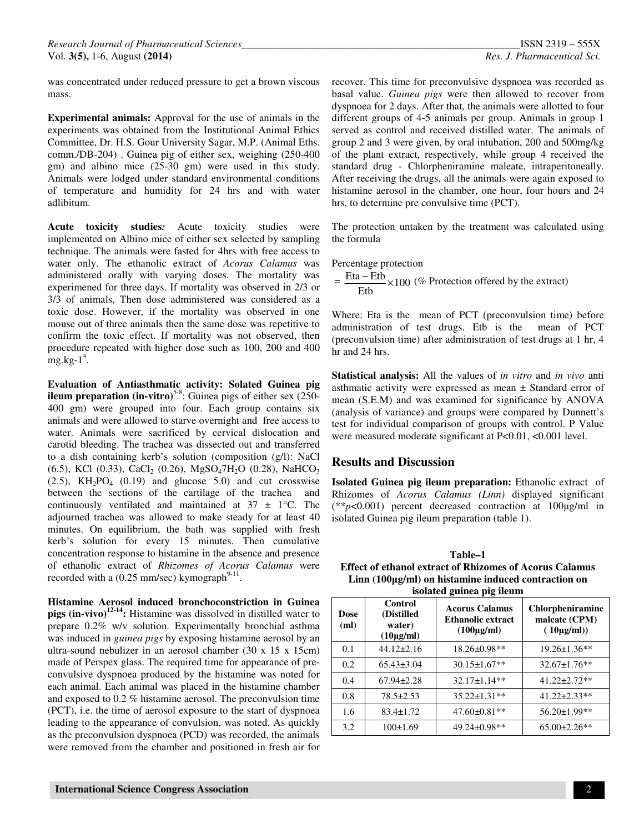was concentrated under reduced pressure to get a brown viscous mass.

**Experimental animals:** Approval for the use of animals in the experiments was obtained from the Institutional Animal Ethics Committee, Dr. H.S. Gour University Sagar, M.P. (Animal Eths. comm./DB-204) . Guinea pig of either sex, weighing (250-400 gm) and albino mice (25-30 gm) were used in this study. Animals were lodged under standard environmental conditions of temperature and humidity for 24 hrs and with water adlibitum.

**Acute toxicity studies***:* Acute toxicity studies were implemented on Albino mice of either sex selected by sampling technique. The animals were fasted for 4hrs with free access to water only. The ethanolic extract of *Acorus Calamus* was administered orally with varying doses. The mortality was experimened for three days. If mortality was observed in 2/3 or 3/3 of animals, Then dose administered was considered as a toxic dose. However, if the mortality was observed in one mouse out of three animals then the same dose was repetitive to confirm the toxic effect. If mortality was not observed, then procedure repeated with higher dose such as 100, 200 and 400  $mg/kg-1<sup>4</sup>$ .

**Evaluation of Antiasthmatic activity: Solated Guinea pig ileum preparation (in-vitro)**<sup>5-8</sup>: Guinea pigs of either sex (250-400 gm) were grouped into four. Each group contains six animals and were allowed to starve overnight and free access to water. Animals were sacrificed by cervical dislocation and carotid bleeding. The trachea was dissected out and transferred to a dish containing kerb's solution (composition (g/l): NaCl  $(6.5)$ , KCl  $(0.33)$ , CaCl<sub>2</sub>  $(0.26)$ , MgSO<sub>4</sub>7H<sub>2</sub>O  $(0.28)$ , NaHCO<sub>3</sub>  $(2.5)$ ,  $KH<sub>2</sub>PO<sub>4</sub>$   $(0.19)$  and glucose 5.0) and cut crosswise between the sections of the cartilage of the trachea and continuously ventilated and maintained at  $37 \pm 1$ °C. The adjourned trachea was allowed to make steady for at least 40 minutes. On equilibrium, the bath was supplied with fresh kerb's solution for every 15 minutes. Then cumulative concentration response to histamine in the absence and presence of ethanolic extract of *Rhizomes of Acorus Calamus* were recorded with a  $(0.25 \text{ mm/sec})$  kymograph<sup>9-11</sup>.

**Histamine Aerosol induced bronchoconstriction in Guinea pigs (in-vivo)12-14:** Histamine was dissolved in distilled water to prepare 0.2% w/v solution. Experimentally bronchial asthma was induced in *guinea pigs* by exposing histamine aerosol by an ultra-sound nebulizer in an aerosol chamber (30 x 15 x 15cm) made of Perspex glass. The required time for appearance of preconvulsive dyspnoea produced by the histamine was noted for each animal. Each animal was placed in the histamine chamber and exposed to 0.2 % histamine aerosol. The preconvulsion time (PCT), i.e. the time of aerosol exposure to the start of dyspnoea leading to the appearance of convulsion, was noted. As quickly as the preconvulsion dyspnoea (PCD) was recorded, the animals were removed from the chamber and positioned in fresh air for

recover. This time for preconvulsive dyspnoea was recorded as basal value. *Guinea pigs* were then allowed to recover from dyspnoea for 2 days. After that, the animals were allotted to four different groups of 4-5 animals per group. Animals in group 1 served as control and received distilled water. The animals of group 2 and 3 were given, by oral intubation, 200 and 500mg/kg of the plant extract, respectively, while group 4 received the standard drug - Chlorpheniramine maleate, intraperitoneally. After receiving the drugs, all the animals were again exposed to histamine aerosol in the chamber, one hour, four hours and 24 hrs, to determine pre convulsive time (PCT).

The protection untaken by the treatment was calculated using the formula

Percentage protection

 $=\frac{\text{Eia}-\text{Eib}}{\text{Eib}} \times 100$ Etb  $\frac{\text{Eta} - \text{Etb}}{\times 100}$  (% Protection offered by the extract)

Where: Eta is the mean of PCT (preconvulsion time) before administration of test drugs. Etb is the mean of PCT (preconvulsion time) after administration of test drugs at 1 hr, 4 hr and 24 hrs.

**Statistical analysis:** All the values of *in vitro* and *in vivo* anti asthmatic activity were expressed as mean ± Standard error of mean (S.E.M) and was examined for significance by ANOVA (analysis of variance) and groups were compared by Dunnett's test for individual comparison of groups with control. P Value were measured moderate significant at P<0.01, <0.001 level.

## **Results and Discussion**

**Isolated Guinea pig ileum preparation:** Ethanolic extract of Rhizomes of *Acorus Calamus (Linn)* displayed significant (\*\**p*<0.001) percent decreased contraction at 100µg/ml in isolated Guinea pig ileum preparation (table 1).

**Table–1 Effect of ethanol extract of Rhizomes of Acorus Calamus Linn (100**µ**g/ml) on histamine induced contraction on isolated guinea pig ileum**

| Dose<br>(ml) | Control<br>(Distilled<br>water)<br>$(10\mu g/ml)$ | <b>Acorus Calamus</b><br><b>Ethanolic extract</b><br>$(100\mu\text{g/ml})$ | <b>Chlorpheniramine</b><br>maleate (CPM)<br>$(10\mu\text{g/ml}))$ |
|--------------|---------------------------------------------------|----------------------------------------------------------------------------|-------------------------------------------------------------------|
| 0.1          | $44.12 \pm 2.16$                                  | 18.26±0.98**                                                               | $19.26 \pm 1.36$ **                                               |
| 0.2          | $65.43\pm3.04$                                    | $30.15 \pm 1.67$ **                                                        | $32.67 \pm 1.76$ **                                               |
| 0.4          | $67.94 \pm 2.28$                                  | 32.17±1.14**                                                               | $41.22 \pm 2.72**$                                                |
| 0.8          | 78.5±2.53                                         | $35.22 \pm 1.31**$                                                         | $41.22 \pm 2.33**$                                                |
| 1.6          | $83.4 \pm 1.72$                                   | $47.60 \pm 0.81$ **                                                        | 56.20±1.99**                                                      |
| 3.2          | 100±1.69                                          | $49.24 \pm 0.98**$                                                         | $65.00\pm2.26**$                                                  |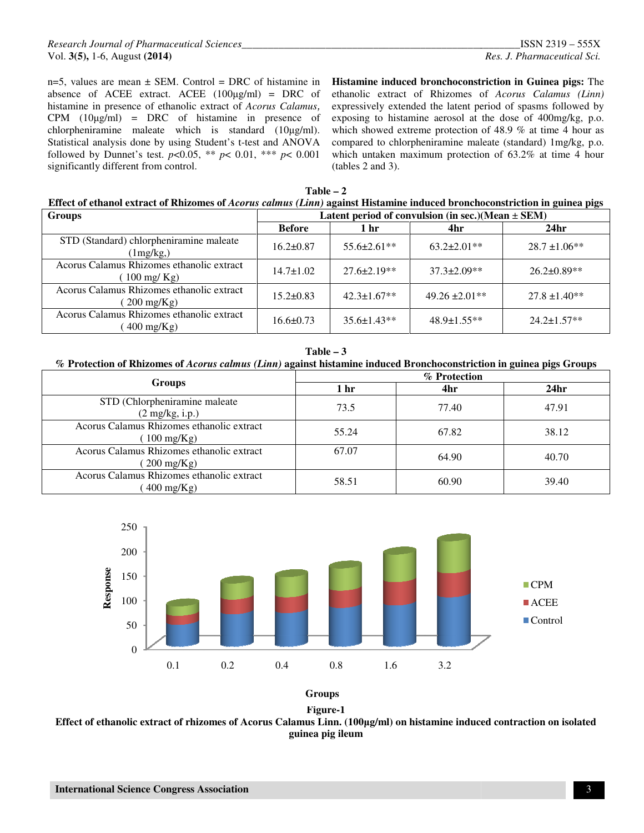n=5, values are mean  $\pm$  SEM. Control = DRC of histamine in absence of ACEE extract. ACEE  $(100\mu\text{g/ml})$  = DRC of histamine in presence of ethanolic extract of *Acorus Calamus*, CPM (10µg/ml) = DRC of histamine in presence of chlorpheniramine maleate which is standard  $(10\mu g/ml)$ . Statistical analysis done by using Student's t-test and ANOVA followed by Dunnet's test.  $p<0.05$ , \*\*  $p< 0.01$ , \*\*\*  $p< 0.001$ significantly different from control.

**Histamine induced bronchoconstriction bronchoconstriction in Guinea pigs:** The ethanolic extract of Rhizomes of *Acorus Calamus (Linn)* expressively extended the latent period of spasms followed by exposing to histamine aerosol at the dose of 400mg/kg, p.o. which showed extreme protection of 48.9 % at time 4 hour as compared to chlorpheniramine maleate (standard) 1mg/kg, p.o. which untaken maximum protection of 63.2% at time 4 hour (tables 2 and 3).

| Table – 2                                                                                                                  |  |  |  |  |  |  |  |  |  |
|----------------------------------------------------------------------------------------------------------------------------|--|--|--|--|--|--|--|--|--|
| Effect of ethanol extract of Rhizomes of Acorus calmus (Linn) against Histamine induced bronchoconstriction in guinea pigs |  |  |  |  |  |  |  |  |  |
| $\sim$                                                                                                                     |  |  |  |  |  |  |  |  |  |

| <b>Groups</b>                                                    | Latent period of convulsion (in sec.)(Mean $\pm$ SEM) |                    |                    |                   |  |  |  |
|------------------------------------------------------------------|-------------------------------------------------------|--------------------|--------------------|-------------------|--|--|--|
|                                                                  | <b>Before</b>                                         | 1 <sub>hr</sub>    | 4hr                | 24 <sub>hr</sub>  |  |  |  |
| STD (Standard) chlorpheniramine maleate<br>(1mg/kg)              | $16.2 \pm 0.87$                                       | $55.6 \pm 2.61$ ** | $63.2 \pm 2.01$ ** | $28.7 \pm 1.06**$ |  |  |  |
| Acorus Calamus Rhizomes ethanolic extract<br>$100 \text{ mg/Kg}$ | $14.7 \pm 1.02$                                       | $27.6 \pm 2.19**$  | $37.3 \pm 2.09**$  | $26.2 \pm 0.89**$ |  |  |  |
| Acorus Calamus Rhizomes ethanolic extract<br>$200 \text{ mg/Kg}$ | $15.2 \pm 0.83$                                       | $42.3 \pm 1.67$ ** | $49.26 \pm 2.01**$ | $27.8 \pm 1.40**$ |  |  |  |
| Acorus Calamus Rhizomes ethanolic extract<br>$400 \text{ mg/Kg}$ | $16.6 \pm 0.73$                                       | $35.6 \pm 1.43**$  | $48.9 \pm 1.55**$  | $24.2 \pm 1.57**$ |  |  |  |



#### **% Protection of Rhizomes of** *Acorus calmus calmus (Linn)* **against histamine induced Bronchoconstriction Bronchoconstriction in guinea pigs Groups**

|                                                                  | % Protection |       |                  |  |  |
|------------------------------------------------------------------|--------------|-------|------------------|--|--|
| <b>Groups</b>                                                    | l hr         | 4hr   | 24 <sub>hr</sub> |  |  |
| STD (Chlorpheniramine maleate<br>$(2 \text{ mg/kg}, i.p.)$       | 73.5         | 77.40 | 47.91            |  |  |
| Acorus Calamus Rhizomes ethanolic extract<br>$100 \text{ mg/Kg}$ | 55.24        | 67.82 | 38.12            |  |  |
| Acorus Calamus Rhizomes ethanolic extract<br>$200 \text{ mg/Kg}$ | 67.07        | 64.90 | 40.70            |  |  |
| Acorus Calamus Rhizomes ethanolic extract<br>$400 \text{ mg/Kg}$ | 58.51        | 60.90 | 39.40            |  |  |







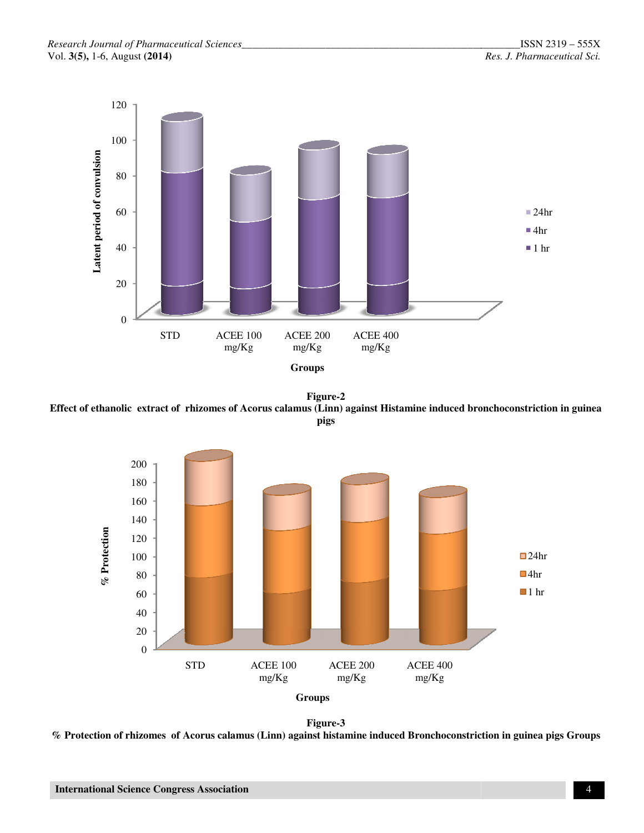

Effect of ethanolic extract of rhizomes of Acorus calamus (Linn) against Histamine induced bronchoconstriction in guinea<br>pigs **Figure-2** 



**Figure-3**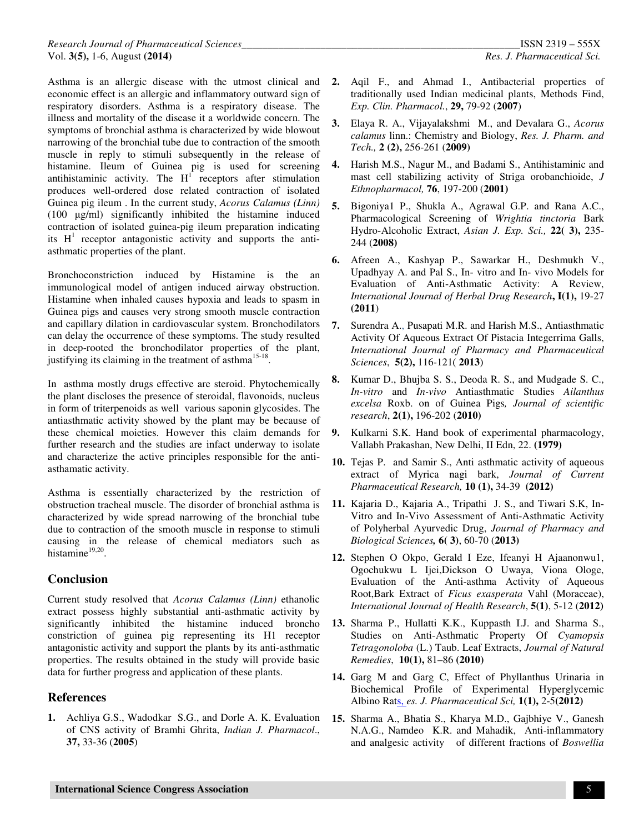Asthma is an allergic disease with the utmost clinical and economic effect is an allergic and inflammatory outward sign of respiratory disorders. Asthma is a respiratory disease. The illness and mortality of the disease it a worldwide concern. The symptoms of bronchial asthma is characterized by wide blowout narrowing of the bronchial tube due to contraction of the smooth muscle in reply to stimuli subsequently in the release of histamine. Ileum of Guinea pig is used for screening antihistaminic activity. The  $H<sup>T</sup>$  receptors after stimulation produces well-ordered dose related contraction of isolated Guinea pig ileum . In the current study, *Acorus Calamus (Linn)* (100 µg/ml) significantly inhibited the histamine induced contraction of isolated guinea-pig ileum preparation indicating its  $H<sup>1</sup>$  receptor antagonistic activity and supports the antiasthmatic properties of the plant.

Bronchoconstriction induced by Histamine is the an immunological model of antigen induced airway obstruction. Histamine when inhaled causes hypoxia and leads to spasm in Guinea pigs and causes very strong smooth muscle contraction and capillary dilation in cardiovascular system. Bronchodilators can delay the occurrence of these symptoms. The study resulted in deep-rooted the bronchodilator properties of the plant, justifying its claiming in the treatment of asthma<sup>15-18</sup>.

In asthma mostly drugs effective are steroid. Phytochemically the plant discloses the presence of steroidal, flavonoids, nucleus in form of triterpenoids as well various saponin glycosides. The antiasthmatic activity showed by the plant may be because of these chemical moieties. However this claim demands for further research and the studies are infact underway to isolate and characterize the active principles responsible for the antiasthamatic activity.

Asthma is essentially characterized by the restriction of obstruction tracheal muscle. The disorder of bronchial asthma is characterized by wide spread narrowing of the bronchial tube due to contraction of the smooth muscle in response to stimuli causing in the release of chemical mediators such as histamine<sup>19,20</sup>.

# **Conclusion**

Current study resolved that *Acorus Calamus (Linn)* ethanolic extract possess highly substantial anti-asthmatic activity by significantly inhibited the histamine induced broncho constriction of guinea pig representing its H1 receptor antagonistic activity and support the plants by its anti-asthmatic properties. The results obtained in the study will provide basic data for further progress and application of these plants.

# **References**

**1.** Achliya G.S., Wadodkar S.G., and Dorle A. K. Evaluation of CNS activity of Bramhi Ghrita, *Indian J. Pharmacol*., **37,** 33-36 (**2005**)

- **2.** Aqil F., and Ahmad I., Antibacterial properties of traditionally used Indian medicinal plants, Methods Find, *Exp. Clin. Pharmacol.*, **29,** 79-92 (**2007**)
- **3.** Elaya R. A., Vijayalakshmi M., and Devalara G., *Acorus calamus* linn.: Chemistry and Biology, *Res. J. Pharm. and Tech.,* **2 (2),** 256-261 (**2009)**
- **4.** Harish M.S., Nagur M., and Badami S., Antihistaminic and mast cell stabilizing activity of Striga orobanchioide, *J Ethnopharmacol,* **76**, 197-200 (**2001)**
- **5.** Bigoniya1 P., Shukla A., Agrawal G.P. and Rana A.C., Pharmacological Screening of *Wrightia tinctoria* Bark Hydro-Alcoholic Extract, *Asian J. Exp. Sci.,* **22( 3),** 235- 244 (**2008)**
- **6.** Afreen A., Kashyap P., Sawarkar H., Deshmukh V., Upadhyay A. and Pal S., In- vitro and In- vivo Models for Evaluation of Anti-Asthmatic Activity: A Review, *International Journal of Herbal Drug Research***, I(1),** 19-27 **(2011**)
- **7.** Surendra A., Pusapati M.R. and Harish M.S., Antiasthmatic Activity Of Aqueous Extract Of Pistacia Integerrima Galls, *International Journal of Pharmacy and Pharmaceutical Sciences*, **5(2),** 116-121( **2013**)
- **8.** Kumar D., Bhujba S. S., Deoda R. S., and Mudgade S. C., *In-vitro* and *In-vivo* Antiasthmatic Studies *Ailanthus excelsa* Roxb. on of Guinea Pigs*, Journal of scientific research*, **2(1),** 196-202 (**2010)**
- **9.** Kulkarni S.K. Hand book of experimental pharmacology, Vallabh Prakashan, New Delhi, II Edn, 22. **(1979)**
- **10.** Tejas P. and Samir S., Anti asthmatic activity of aqueous extract of Myrica nagi bark, *Journal of Current Pharmaceutical Research,* **10 (1),** 34-39 **(2012)**
- **11.** Kajaria D., Kajaria A., Tripathi J. S., and Tiwari S.K, In-Vitro and In-Vivo Assessment of Anti-Asthmatic Activity of Polyherbal Ayurvedic Drug, *Journal of Pharmacy and Biological Sciences,* **6( 3)**, 60-70 (**2013)**
- **12.** Stephen O Okpo, Gerald I Eze, Ifeanyi H Ajaanonwu1, Ogochukwu L Ijei,Dickson O Uwaya, Viona Ologe, Evaluation of the Anti-asthma Activity of Aqueous Root,Bark Extract of *Ficus exasperata* Vahl (Moraceae), *International Journal of Health Research*, **5(1)**, 5-12 (**2012)**
- **13.** Sharma P., Hullatti K.K., Kuppasth I.J. and Sharma S., Studies on Anti-Asthmatic Property Of *Cyamopsis Tetragonoloba* (L.) Taub. Leaf Extracts, *Journal of Natural Remedies*, **10(1),** 81–86 **(2010)**
- **14.** Garg M and Garg C, Effect of Phyllanthus Urinaria in Biochemical Profile of Experimental Hyperglycemic Albino Rats, *es. J. Pharmaceutical Sci,* **1(1),** 2-5**(2012)**
- **15.** Sharma A., Bhatia S., Kharya M.D., Gajbhiye V., Ganesh N.A.G., Namdeo K.R. and Mahadik, Anti-inflammatory and analgesic activity of different fractions of *Boswellia*